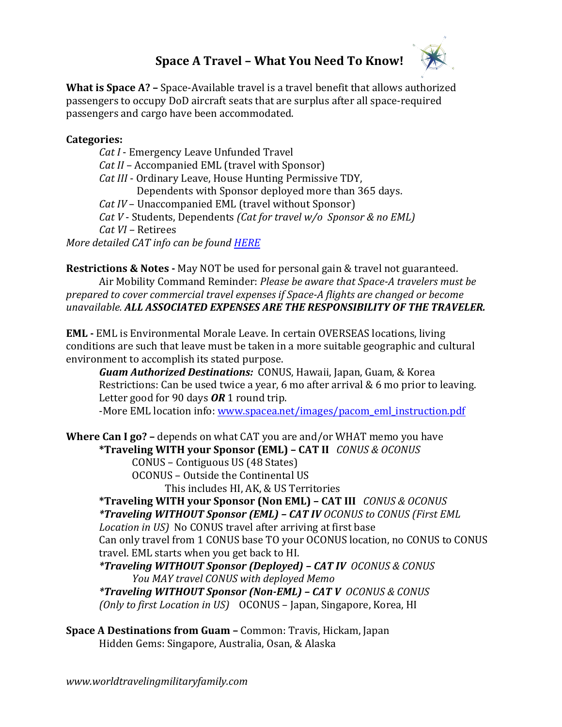## **Space A Travel – What You Need To Know!**



**What is Space A? –** Space-Available travel is a travel benefit that allows authorized passengers to occupy DoD aircraft seats that are surplus after all space-required passengers and cargo have been accommodated.

## **Categories:**

*Cat I* - Emergency Leave Unfunded Travel *Cat II* – Accompanied EML (travel with Sponsor) *Cat III* - Ordinary Leave, House Hunting Permissive TDY, Dependents with Sponsor deployed more than 365 days. *Cat IV* – Unaccompanied EML (travel without Sponsor) *Cat V* - Students, Dependents *(Cat for travel w/o Sponsor & no EML) Cat VI –* Retirees *More detailed CAT info can be found [HERE](https://www.amc.af.mil/Home/AMC-Travel-Site/Space-A-Travel-Categories/)*

**Restrictions & Notes -** May NOT be used for personal gain & travel not guaranteed. Air Mobility Command Reminder: *Please be aware that Space-A travelers must be prepared to cover commercial travel expenses if Space-A flights are changed or become unavailable. ALL ASSOCIATED EXPENSES ARE THE RESPONSIBILITY OF THE TRAVELER.*

**EML -** EML is Environmental Morale Leave. In certain OVERSEAS locations, living conditions are such that leave must be taken in a more suitable geographic and cultural environment to accomplish its stated purpose.

*Guam Authorized Destinations:* CONUS, Hawaii, Japan, Guam, & Korea Restrictions: Can be used twice a year, 6 mo after arrival & 6 mo prior to leaving. Letter good for 90 days *OR* 1 round trip.

-More EML location info: [www.spacea.net/images/pacom\\_eml\\_instruction.pdf](http://www.spacea.net/images/pacom_eml_instruction.pdf)

**Where Can I go? –** depends on what CAT you are and/or WHAT memo you have **\*Traveling WITH your Sponsor (EML) – CAT II** *CONUS & OCONUS*

CONUS – Contiguous US (48 States)

OCONUS – Outside the Continental US

This includes HI, AK, & US Territories

**\*Traveling WITH your Sponsor (Non EML) – CAT III** *CONUS & OCONUS \*Traveling WITHOUT Sponsor (EML) – CAT IV OCONUS to CONUS (First EML Location in US)* No CONUS travel after arriving at first base Can only travel from 1 CONUS base TO your OCONUS location, no CONUS to CONUS travel. EML starts when you get back to HI.

*\*Traveling WITHOUT Sponsor (Deployed) – CAT IV OCONUS & CONUS You MAY travel CONUS with deployed Memo*

*\*Traveling WITHOUT Sponsor (Non-EML) – CAT V OCONUS & CONUS (Only to first Location in US)* OCONUS – Japan, Singapore, Korea, HI

**Space A Destinations from Guam –** Common: Travis, Hickam, Japan Hidden Gems: Singapore, Australia, Osan, & Alaska